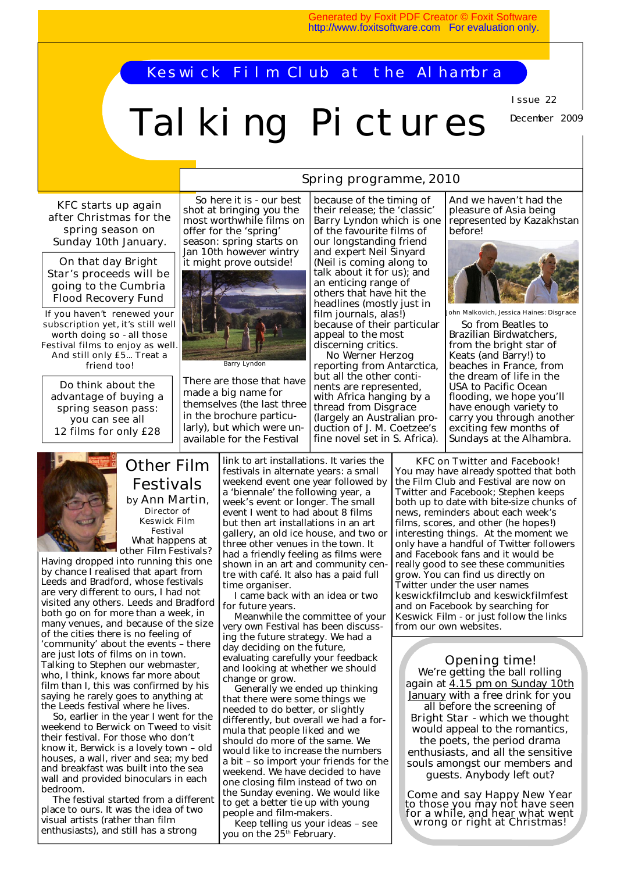## Keswick Film Club at the Alhambra

**Issue 22** 

**December 2009** 

# Talking Pictures

**KFC starts up again after Christmas for the spring season on Sunday 10th January.** 

**On that day** *Bright Star's* **proceeds will be going to the Cumbria Flood Recovery Fund** 

**If you haven't renewed your subscription yet, it's still well worth doing so - all those Festival films to enjoy as well. And still only £5... Treat a friend too!** 

**Do think about the advantage of buying a spring season pass: you can see all 12 films for only £28** 

 So here it is - our best shot at bringing you the most worthwhile films on offer for the 'spring' season: spring starts on Jan 10th however wintry it might prove outside!



There are those that have made a big name for themselves (the last three in the brochure particularly), but which were unavailable for the Festival

**Spring programme, 2010** 

because of the timing of their release; the 'classic' *Barry Lyndon* which is one of the favourite films of our longstanding friend and expert Neil Sinyard (Neil is coming along to talk about it for us); and an enticing range of others that have hit the headlines (mostly just in film journals, alas!) because of their particular appeal to the most discerning critics.

 No Werner Herzog reporting from Antarctica, but all the other continents are represented, with Africa hanging by a thread from *Disgrace*  (largely an Australian production of J. M. Coetzee's fine novel set in S. Africa). And we haven't had the pleasure of Asia being represented by Kazakhstan before!



**John Malkovich, Jessica Haines:** *Dise* 

 So from Beatles to Brazilian Birdwatchers, from the bright star of Keats (and Barry!) to beaches in France, from the dream of life in the USA to Pacific Ocean flooding, we hope you'll have enough variety to carry you through another exciting few months of Sundays at the Alhambra.



#### **Other Film Festivals by Ann Martin, Director of Keswick Film Festival**  What happens at

other Film Festivals? Having dropped into running this one by chance I realised that apart from Leeds and Bradford, whose festivals are very different to ours, I had not visited any others. Leeds and Bradford both go on for more than a week, in many venues, and because of the size of the cities there is no feeling of 'community' about the events – there are just lots of films on in town. Talking to Stephen our webmaster, who, I think, knows far more about film than I, this was confirmed by his saying he rarely goes to anything at the Leeds festival where he lives.

 So, earlier in the year I went for the weekend to Berwick on Tweed to visit their festival. For those who don't know it, Berwick is a lovely town – old houses, a wall, river and sea; my bed and breakfast was built into the sea wall and provided binoculars in each bedroom.

 The festival started from a different place to ours. It was the idea of two visual artists (rather than film enthusiasts), and still has a strong

link to art installations. It varies the festivals in alternate years: a small weekend event one year followed by a 'biennale' the following year, a week's event or longer. The small event I went to had about 8 films but then art installations in an art gallery, an old ice house, and two or three other venues in the town. It had a friendly feeling as films were shown in an art and community centre with café. It also has a paid full time organiser.

 I came back with an idea or two for future years.

 Meanwhile the committee of your very own Festival has been discussing the future strategy. We had a day deciding on the future, evaluating carefully your feedback and looking at whether we should change or grow.

 Generally we ended up thinking that there were some things we needed to do better, or slightly differently, but overall we had a formula that people liked and we should do more of the same. We would like to increase the numbers a bit – so import your friends for the weekend. We have decided to have one closing film instead of two on the Sunday evening. We would like to get a better tie up with young people and film-makers.

 Keep telling us your ideas – see you on the 25<sup>th</sup> February.

**KFC on Twitter and Facebook!**  You may have already spotted that both the Film Club and Festival are now on Twitter and Facebook; Stephen keeps both up to date with bite-size chunks of news, reminders about each week's films, scores, and other (he hopes!) interesting things. At the moment we only have a handful of Twitter followers and Facebook fans and it would be really good to see these communities grow. You can find us directly on Twitter under the user names *keswickfilmclub* and *keswickfilmfest*  and on Facebook by searching for **Keswick Film** - or just follow the links from our own websites.

### **Opening time!**

We're getting the ball rolling again at 4.15 pm on Sunday 10th January with a free drink for you all before the screening of *Bright Star -* which we thought would appeal to the romantics, the poets, the period drama enthusiasts, and all the sensitive souls amongst our members and guests. Anybody left out?

**Come and say Happy New Year to those you may not have seen for a while, and hear what went wrong or right at Christmas!**